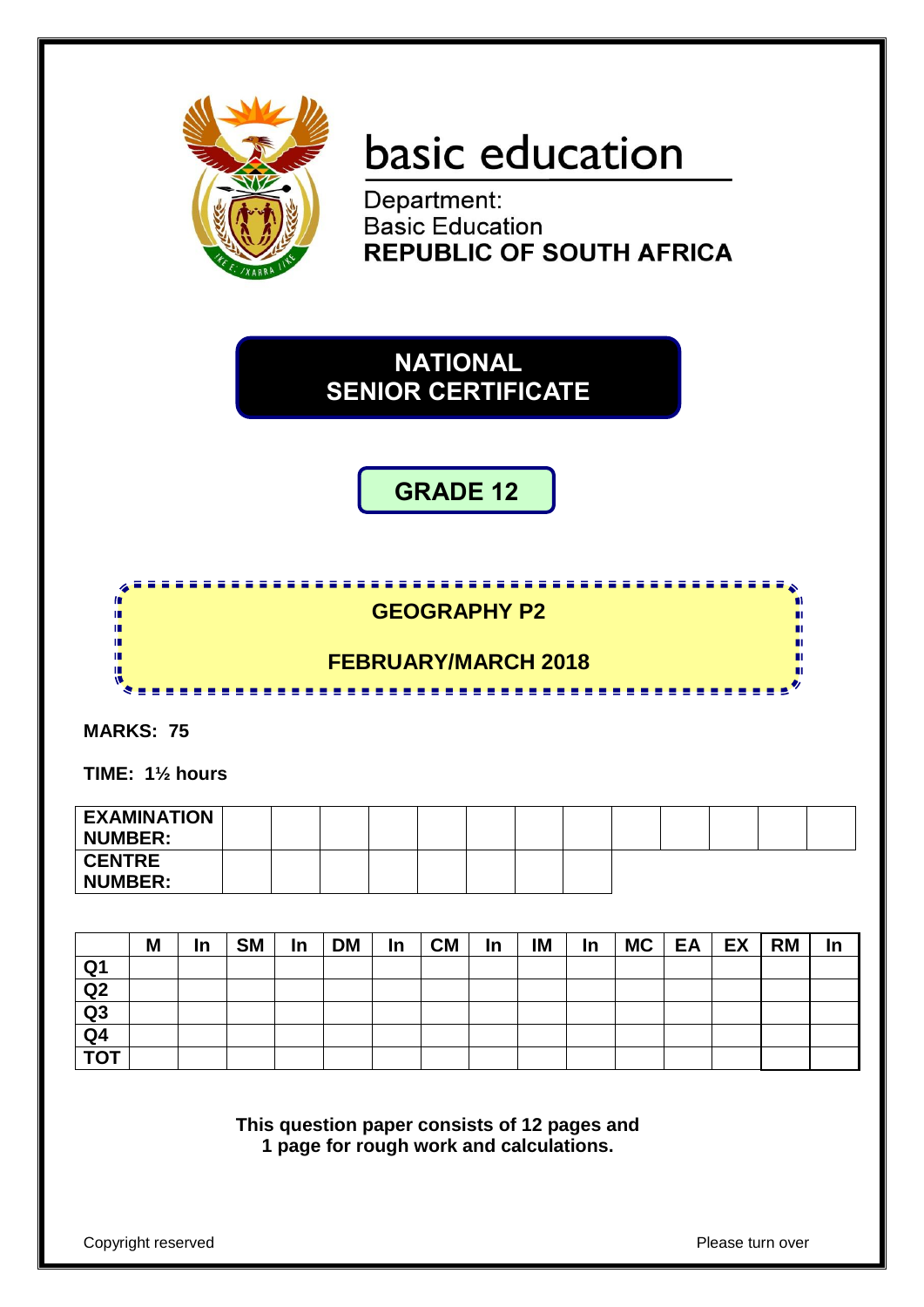

# basic education

Department: **Basic Education REPUBLIC OF SOUTH AFRICA** 

**NATIONAL SENIOR CERTIFICATE**

**GRADE 12**



**MARKS: 75**

**TIME: 1½ hours** 

| <b>EXAMINATION</b><br><b>NUMBER:</b> |  |  |  |  |  |  |  |
|--------------------------------------|--|--|--|--|--|--|--|
| <b>CENTRE</b><br><b>NUMBER:</b>      |  |  |  |  |  |  |  |

|                         | M | In | <b>SM</b> | In | <b>DM</b> | In | <b>CM</b> | In | IM | In | MC | EA | EX | <b>RM</b> | <u>In</u> |
|-------------------------|---|----|-----------|----|-----------|----|-----------|----|----|----|----|----|----|-----------|-----------|
| Q1                      |   |    |           |    |           |    |           |    |    |    |    |    |    |           |           |
| Q2                      |   |    |           |    |           |    |           |    |    |    |    |    |    |           |           |
| Q <sub>3</sub>          |   |    |           |    |           |    |           |    |    |    |    |    |    |           |           |
| Q <sub>4</sub>          |   |    |           |    |           |    |           |    |    |    |    |    |    |           |           |
| $\overline{\text{tot}}$ |   |    |           |    |           |    |           |    |    |    |    |    |    |           |           |

**This question paper consists of 12 pages and 1 page for rough work and calculations.**

Copyright reserved **Please** turn over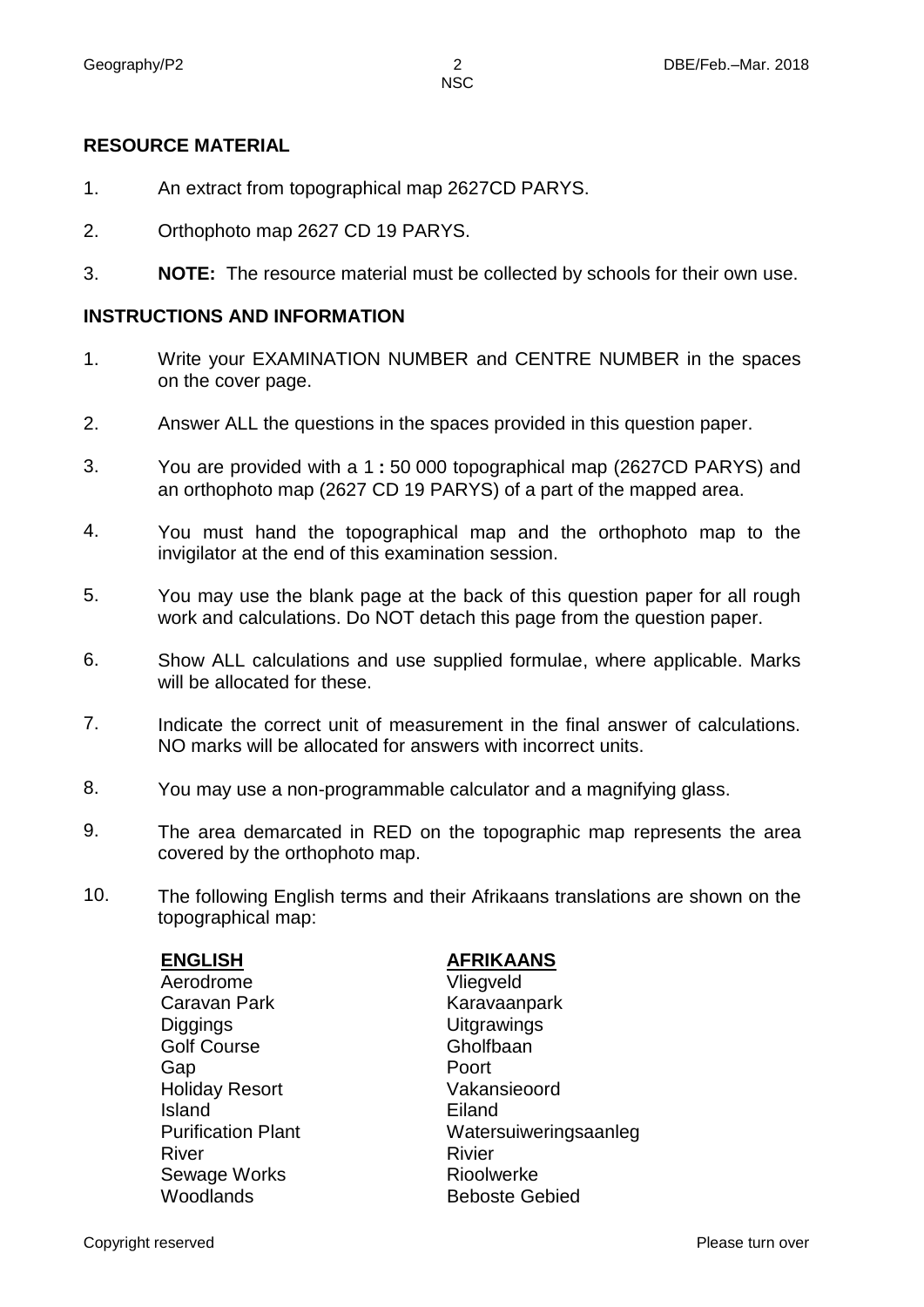#### **NSC**

### **RESOURCE MATERIAL**

- 1. An extract from topographical map 2627CD PARYS.
- 2. Orthophoto map 2627 CD 19 PARYS.
- 3. **NOTE:** The resource material must be collected by schools for their own use.

#### **INSTRUCTIONS AND INFORMATION**

- 1. Write your EXAMINATION NUMBER and CENTRE NUMBER in the spaces on the cover page.
- 2. Answer ALL the questions in the spaces provided in this question paper.
- 3. You are provided with a 1 **:** 50 000 topographical map (2627CD PARYS) and an orthophoto map (2627 CD 19 PARYS) of a part of the mapped area.
- 4. You must hand the topographical map and the orthophoto map to the invigilator at the end of this examination session.
- 5. You may use the blank page at the back of this question paper for all rough work and calculations. Do NOT detach this page from the question paper.
- 6. Show ALL calculations and use supplied formulae, where applicable. Marks will be allocated for these.
- 7. Indicate the correct unit of measurement in the final answer of calculations. NO marks will be allocated for answers with incorrect units.
- 8. You may use a non-programmable calculator and a magnifying glass.
- 9. The area demarcated in RED on the topographic map represents the area covered by the orthophoto map.
- 10. The following English terms and their Afrikaans translations are shown on the topographical map:

Aerodrome Vliegveld Caravan Park Karavaanpark Diggings Uitgrawings Golf Course **Gholfbaan** Gap **Poort** Holiday Resort Vakansieoord **Island**<br> **Purification Plant**<br> **Purification Plant** River Rivier Sewage Works **Rioolwerke** Woodlands **Beboste Gebied** 

## **ENGLISH AFRIKAANS**

Watersuiweringsaanleg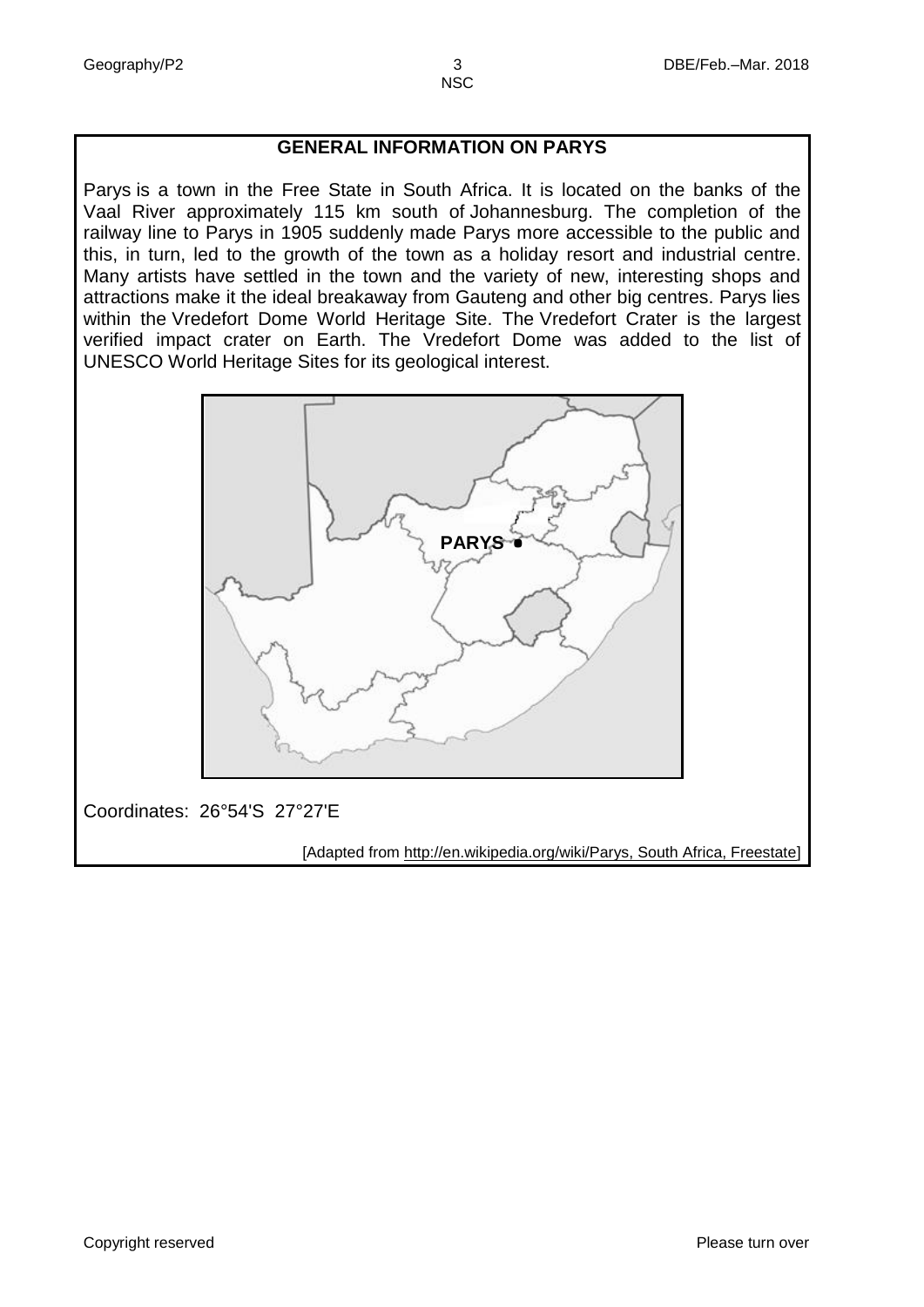# **GENERAL INFORMATION ON PARYS**

Parys is a town in the [Free State](https://en.wikipedia.org/wiki/Free_State_(South_African_province)) in South Africa. It is located on the banks of the [Vaal River](https://en.wikipedia.org/wiki/Vaal_River) approximately 115 km south of [Johannesburg.](http://www.booktravel.travel/index.php?p=johannesburg) The completion of the railway line to Parys in 1905 suddenly made Parys more accessible to the public and this, in turn, led to the growth of the town as a holiday resort and industrial centre. Many artists have settled in the town and the variety of new, interesting shops and attractions make it the ideal breakaway from Gauteng and other big centres. Parys lies within the Vredefort Dome World Heritage Site. The Vredefort Crater is the largest verified [impact crater](https://en.wikipedia.org/wiki/Impact_crater) on Earth. The Vredefort Dome was added to the list of [UNESCO](https://en.wikipedia.org/wiki/UNESCO) [World Heritage Sites](https://en.wikipedia.org/wiki/World_Heritage_Sites) for its geological interest.



# Coordinates: [26°54'S 27°27'E](http://tools.wmflabs.org/geohack/geohack.php?pagename=Queenstown%2C_Eastern_Cape¶ms=31_54_S_26_53_E_type:city_region:ZA)

[Adapted from [http://en.wikipedia.org/wiki/Parys, South Africa, Freestate\]](http://en.wikipedia.org/wiki/Parys,%20South%20Africa,%20Freestate)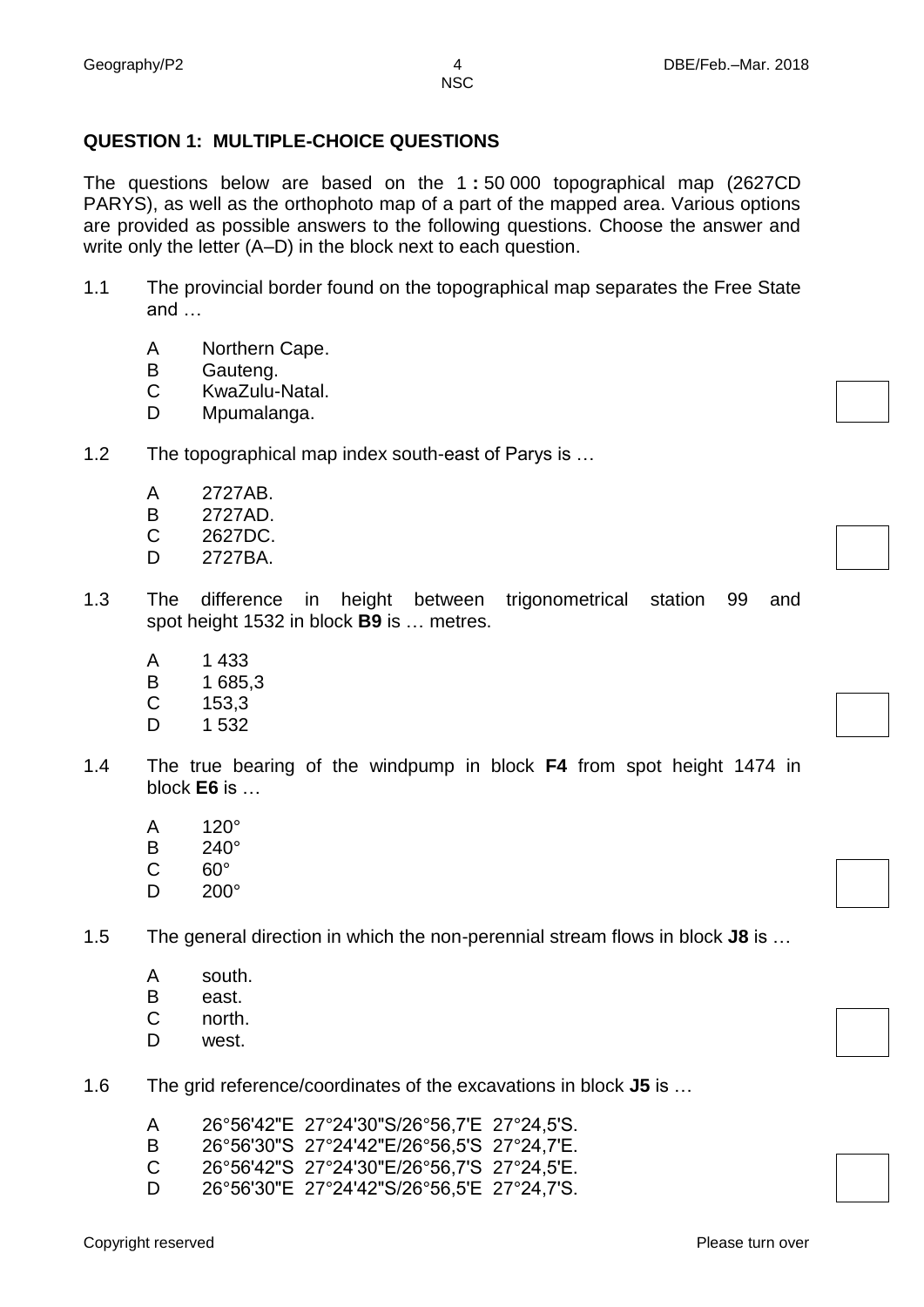# **QUESTION 1: MULTIPLE-CHOICE QUESTIONS**

The questions below are based on the 1 **:** 50 000 topographical map (2627CD PARYS), as well as the orthophoto map of a part of the mapped area. Various options are provided as possible answers to the following questions. Choose the answer and write only the letter (A–D) in the block next to each question.

- 1.1 The provincial border found on the topographical map separates the Free State and …
	- A Northern Cape.
	- B Gauteng.
	- C KwaZulu-Natal.
	- D<sub>1</sub> Mpumalanga.
- 1.2 The topographical map index south-east of Parys is …
	- A 2727AB.
	- B 2727AD.
	- C 2627DC.
	- D. 2727BA.
- 1.3 The difference in height between trigonometrical station 99 and spot height 1532 in block **B9** is … metres.
	- A 1 433
	- B 1 685,3
	- C 153,3
	- $\mathsf{D}$ 1 532
- 1.4 The true bearing of the windpump in block **F4** from spot height 1474 in block **E6** is …
	- A 120°
	- B 240°
	- C 60°
	- D 200°

1.5 The general direction in which the non-perennial stream flows in block **J8** is …

- A south.
- B east.
- C north.
- D west.
- 1.6 The grid reference/coordinates of the excavations in block **J5** is …
	- A 26°56ʹ42ʺE 27°24ʹ30ʺS/26°56,7ʹE 27°24,5ʹS.
	- B 26°56ʹ30ʺS 27°24ʹ42ʺE/26°56,5ʹS 27°24,7ʹE.
	- $\mathcal{C}$ 26°56ʹ42ʺS 27°24ʹ30ʺE/26°56,7ʹS 27°24,5ʹE.
	- D 26°56ʹ30ʺE 27°24ʹ42ʺS/26°56,5ʹE 27°24,7ʹS.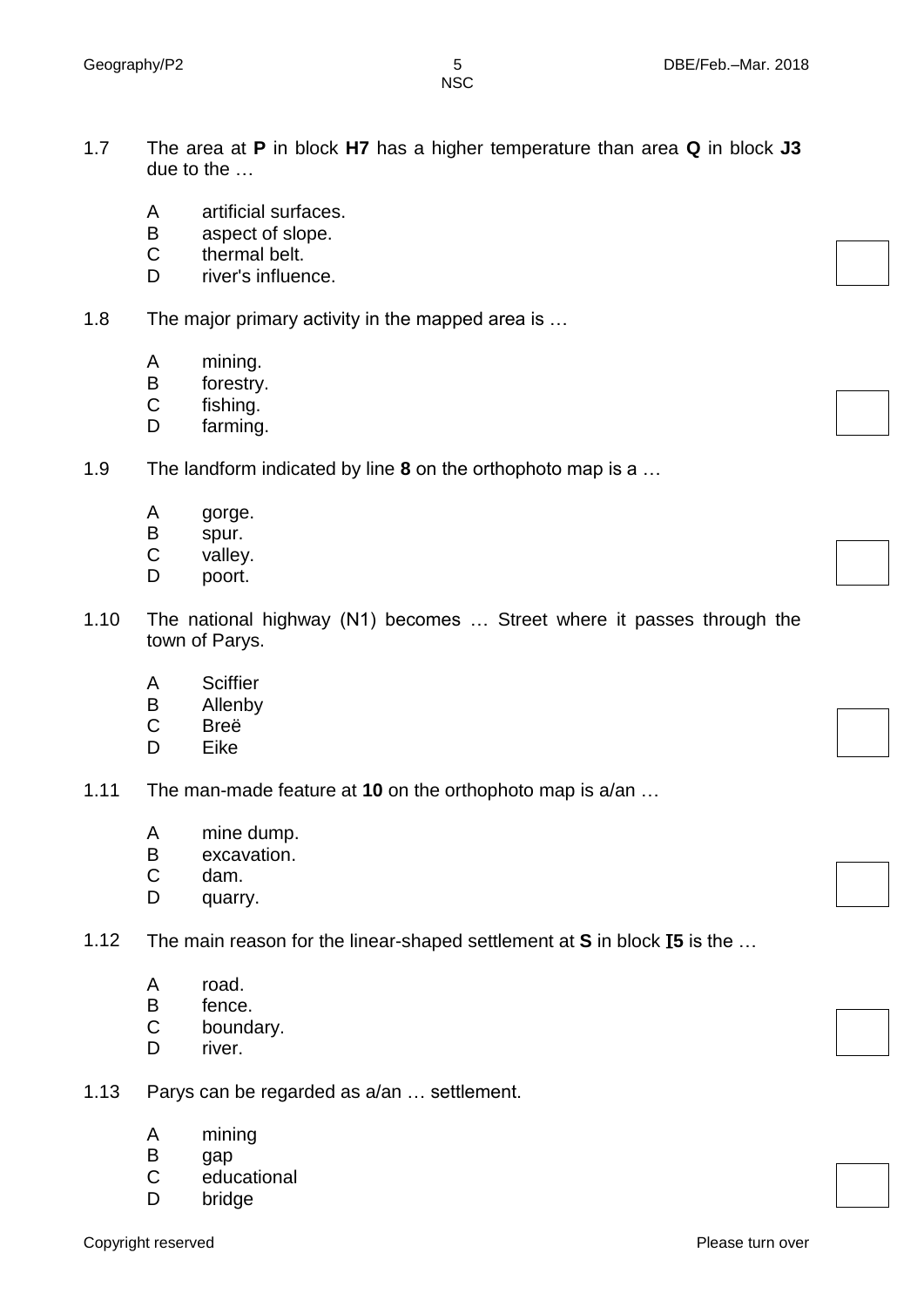- 1.7 The area at **P** in block **H7** has a higher temperature than area **Q** in block **J3** due to the …
	- A artificial surfaces.
	- B aspect of slope.
	- C thermal belt.
	- D river's influence.
- 1.8 The major primary activity in the mapped area is …
	- A mining.
	- B forestry.
	- $\mathcal{C}$ fishing.
	- D farming.
- 1.9 The landform indicated by line **8** on the orthophoto map is a …
	- A gorge.
	- B spur.
	- $\mathsf{C}$ valley.
	- D poort.
- 1.10 The national highway (N1) becomes … Street where it passes through the town of Parys.
	- A **Sciffier**
	- B Allenby
	- C Breë
	- D Eike
- 1.11 The man-made feature at **10** on the orthophoto map is a/an …
	- A mine dump.
	- B excavation.
	- $\mathcal{C}$ dam.
	- D quarry.
- 1.12 The main reason for the linear-shaped settlement at **S** in block I**5** is the …
	- A road.
	- B fence.
	- C boundary.
	- D river.
- 1.13 Parys can be regarded as a/an … settlement.
	- A mining
	- B gap
	- $\mathcal{C}$ educational
	- D bridge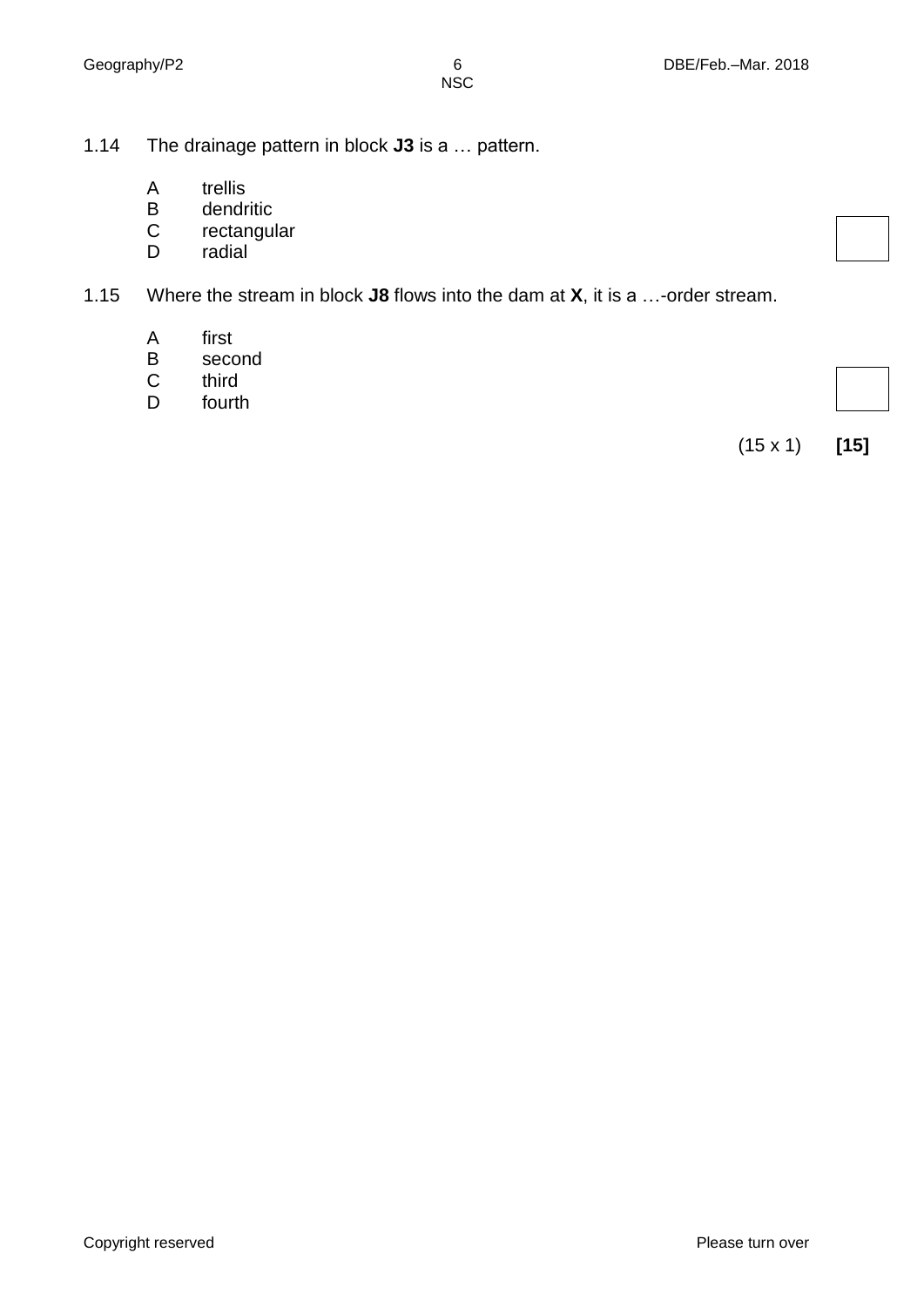- 1.14 The drainage pattern in block **J3** is a … pattern.
	- A trellis
	- B dendritic
	- C rectangular
	- D radial
- 1.15 Where the stream in block **J8** flows into the dam at **X**, it is a …-order stream.
	- A first
	- B second
	- C third
	- D fourth

(15 x 1) **[15]**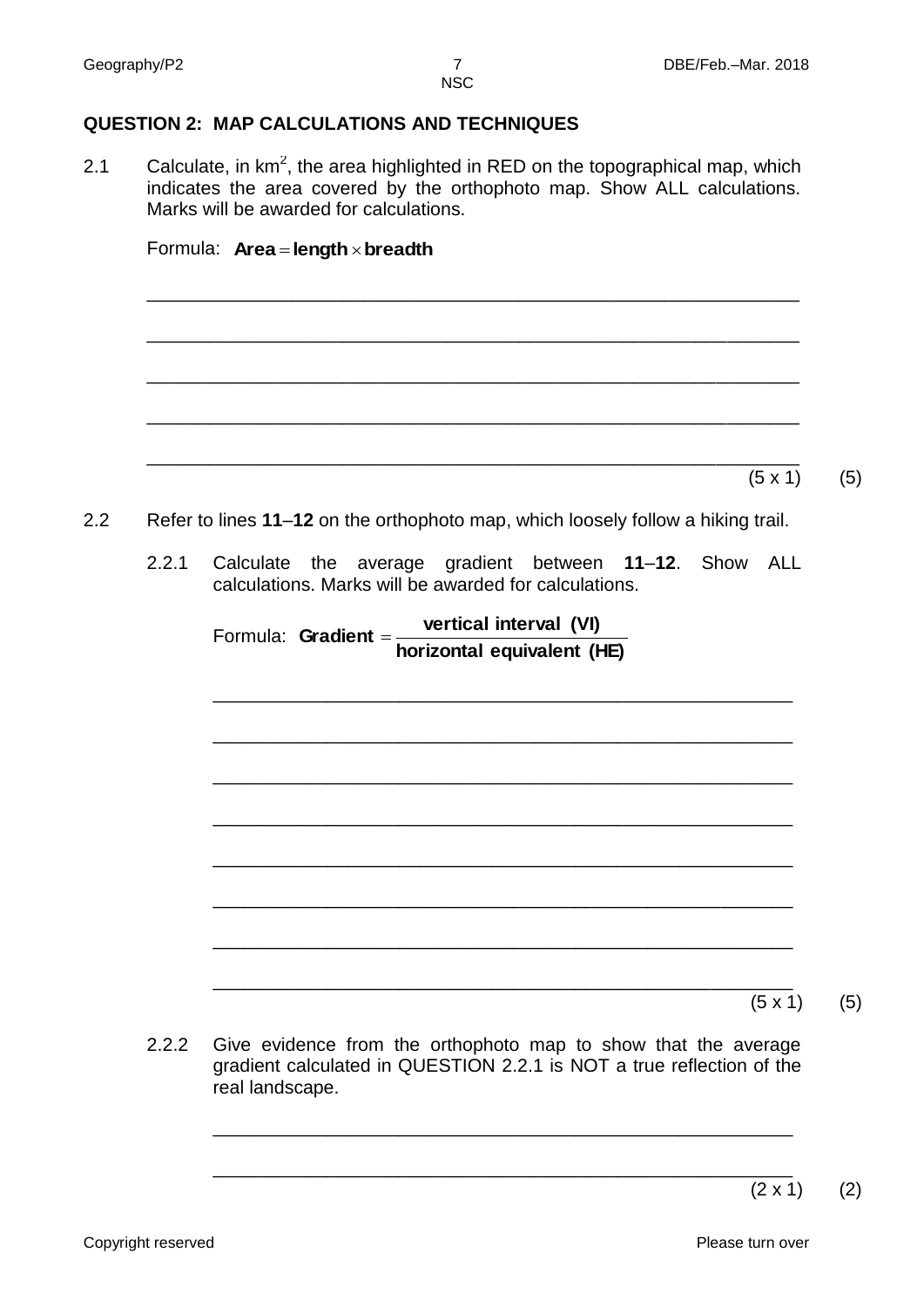**NSC** 

### **QUESTION 2: MAP CALCULATIONS AND TECHNIQUES**

Formula: **Area length breadth**

2.1 Calculate, in  $km^2$ , the area highlighted in RED on the topographical map, which indicates the area covered by the orthophoto map. Show ALL calculations. Marks will be awarded for calculations.

|       | $(5 \times 1)$                                                                                                     |
|-------|--------------------------------------------------------------------------------------------------------------------|
|       | Refer to lines 11-12 on the orthophoto map, which loosely follow a hiking trail.                                   |
| 2.2.1 | the average gradient between 11-12. Show ALL<br>Calculate<br>calculations. Marks will be awarded for calculations. |
|       | Formula: Gradient = $\frac{\text{vertical interval (VI)}}{\frac{1}{2}}$                                            |
|       | horizontal equivalent (HE)                                                                                         |
|       |                                                                                                                    |
|       |                                                                                                                    |
|       |                                                                                                                    |
|       |                                                                                                                    |
|       |                                                                                                                    |
|       |                                                                                                                    |

2.2.2 Give evidence from the orthophoto map to show that the average gradient calculated in QUESTION 2.2.1 is NOT a true reflection of the real landscape.

\_\_\_\_\_\_\_\_\_\_\_\_\_\_\_\_\_\_\_\_\_\_\_\_\_\_\_\_\_\_\_\_\_\_\_\_\_\_\_\_\_\_\_\_\_\_\_\_\_\_\_\_\_\_\_\_

\_\_\_\_\_\_\_\_\_\_\_\_\_\_\_\_\_\_\_\_\_\_\_\_\_\_\_\_\_\_\_\_\_\_\_\_\_\_\_\_\_\_\_\_\_\_\_\_\_\_\_\_\_\_\_\_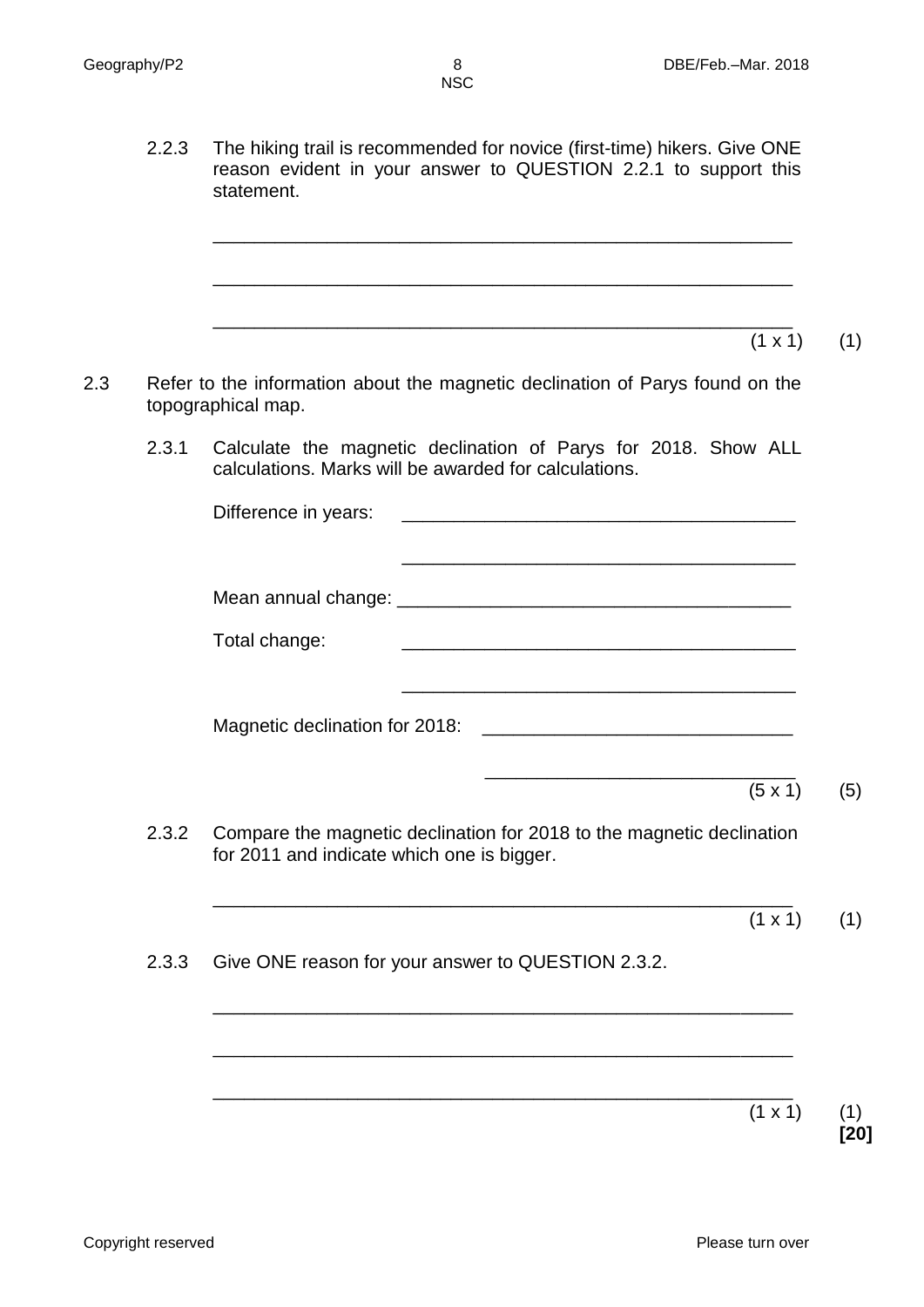2.2.3 The hiking trail is recommended for novice (first-time) hikers. Give ONE reason evident in your answer to QUESTION 2.2.1 to support this statement.

\_\_\_\_\_\_\_\_\_\_\_\_\_\_\_\_\_\_\_\_\_\_\_\_\_\_\_\_\_\_\_\_\_\_\_\_\_\_\_\_\_\_\_\_\_\_\_\_\_\_\_\_\_\_\_\_

\_\_\_\_\_\_\_\_\_\_\_\_\_\_\_\_\_\_\_\_\_\_\_\_\_\_\_\_\_\_\_\_\_\_\_\_\_\_\_\_\_\_\_\_\_\_\_\_\_\_\_\_\_\_\_\_

\_\_\_\_\_\_\_\_\_\_\_\_\_\_\_\_\_\_\_\_\_\_\_\_\_\_\_\_\_\_\_\_\_\_\_\_\_\_\_\_\_\_\_\_\_\_\_\_\_\_\_\_\_\_\_\_  $(1 \times 1)$  (1)

- 2.3 Refer to the information about the magnetic declination of Parys found on the topographical map.
	- 2.3.1 Calculate the magnetic declination of Parys for 2018. Show ALL calculations. Marks will be awarded for calculations.

|       | Difference in years: example and the property of the property of the property of the property of the property of the property of the property of the property of the property of the property of the property of the property |  |                |     |
|-------|-------------------------------------------------------------------------------------------------------------------------------------------------------------------------------------------------------------------------------|--|----------------|-----|
|       | Total change:                                                                                                                                                                                                                 |  |                |     |
|       |                                                                                                                                                                                                                               |  |                |     |
|       |                                                                                                                                                                                                                               |  | $(5 \times 1)$ | (5) |
| 2.3.2 | Compare the magnetic declination for 2018 to the magnetic declination<br>for 2011 and indicate which one is bigger.                                                                                                           |  |                |     |
|       |                                                                                                                                                                                                                               |  |                |     |

\_\_\_\_\_\_\_\_\_\_\_\_\_\_\_\_\_\_\_\_\_\_\_\_\_\_\_\_\_\_\_\_\_\_\_\_\_\_\_\_\_\_\_\_\_\_\_\_\_\_\_\_\_\_\_\_

\_\_\_\_\_\_\_\_\_\_\_\_\_\_\_\_\_\_\_\_\_\_\_\_\_\_\_\_\_\_\_\_\_\_\_\_\_\_\_\_\_\_\_\_\_\_\_\_\_\_\_\_\_\_\_\_

\_\_\_\_\_\_\_\_\_\_\_\_\_\_\_\_\_\_\_\_\_\_\_\_\_\_\_\_\_\_\_\_\_\_\_\_\_\_\_\_\_\_\_\_\_\_\_\_\_\_\_\_\_\_\_\_

 $(1 \times 1)$  (1)

2.3.3 Give ONE reason for your answer to QUESTION 2.3.2.

 $(1 \times 1)$  (1) **[20]**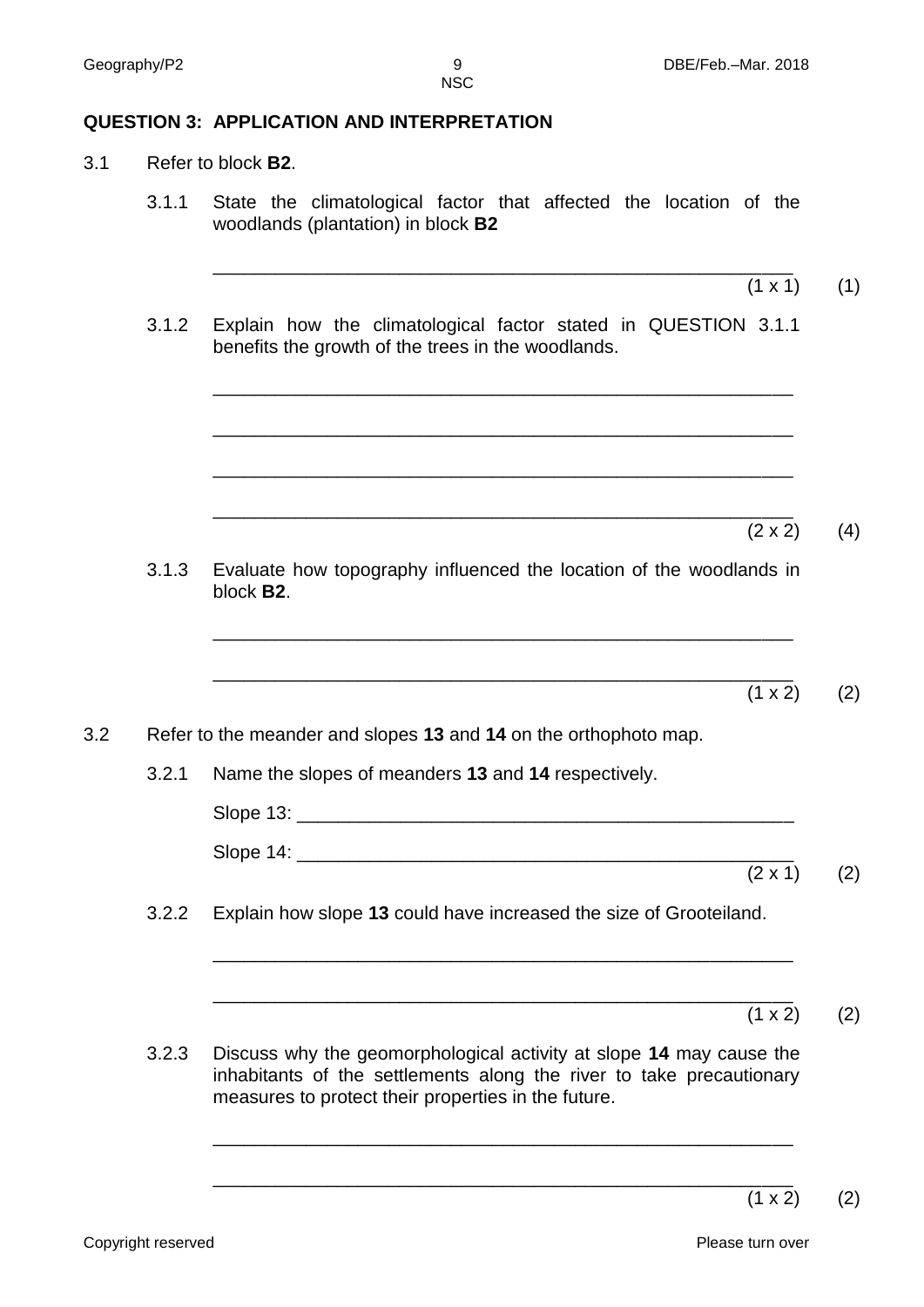### **QUESTION 3: APPLICATION AND INTERPRETATION**

- 3.1 Refer to block **B2**.
	- 3.1.1 State the climatological factor that affected the location of the woodlands (plantation) in block **B2**
		- \_\_\_\_\_\_\_\_\_\_\_\_\_\_\_\_\_\_\_\_\_\_\_\_\_\_\_\_\_\_\_\_\_\_\_\_\_\_\_\_\_\_\_\_\_\_\_\_\_\_\_\_\_\_\_\_  $(1 \times 1)$  (1)
	- 3.1.2 Explain how the climatological factor stated in QUESTION 3.1.1 benefits the growth of the trees in the woodlands.

| 3.1.3 Evaluate how topography influenced the location of the woodlands in<br>block <b>B2.</b>                                                                                                            | (2 x 2)            | (4) |
|----------------------------------------------------------------------------------------------------------------------------------------------------------------------------------------------------------|--------------------|-----|
| 3.2.2 Refer to the meander and slopes <b>13</b> and <b>14</b> on the orthophoto map.                                                                                                                     | $(1 \times 2)$ (2) |     |
| 3.2.1 Name the slopes of meanders <b>13</b> and <b>14</b> respectively.                                                                                                                                  | $(2 \times 1)$ (2) |     |
| 3.2.2 Explain how slope <b>13</b> could have increased the size of Grooteiland.                                                                                                                          | $(1 \times 2)$ (2) |     |
| 3.2.3 Discuss why the geomorphological activity at slope <b>14</b> may cause the inhabitants of the settlement along the river to take precautionary measures to protect their properties in the future. |                    |     |

\_\_\_\_\_\_\_\_\_\_\_\_\_\_\_\_\_\_\_\_\_\_\_\_\_\_\_\_\_\_\_\_\_\_\_\_\_\_\_\_\_\_\_\_\_\_\_\_\_\_\_\_\_\_\_\_

\_\_\_\_\_\_\_\_\_\_\_\_\_\_\_\_\_\_\_\_\_\_\_\_\_\_\_\_\_\_\_\_\_\_\_\_\_\_\_\_\_\_\_\_\_\_\_\_\_\_\_\_\_\_\_\_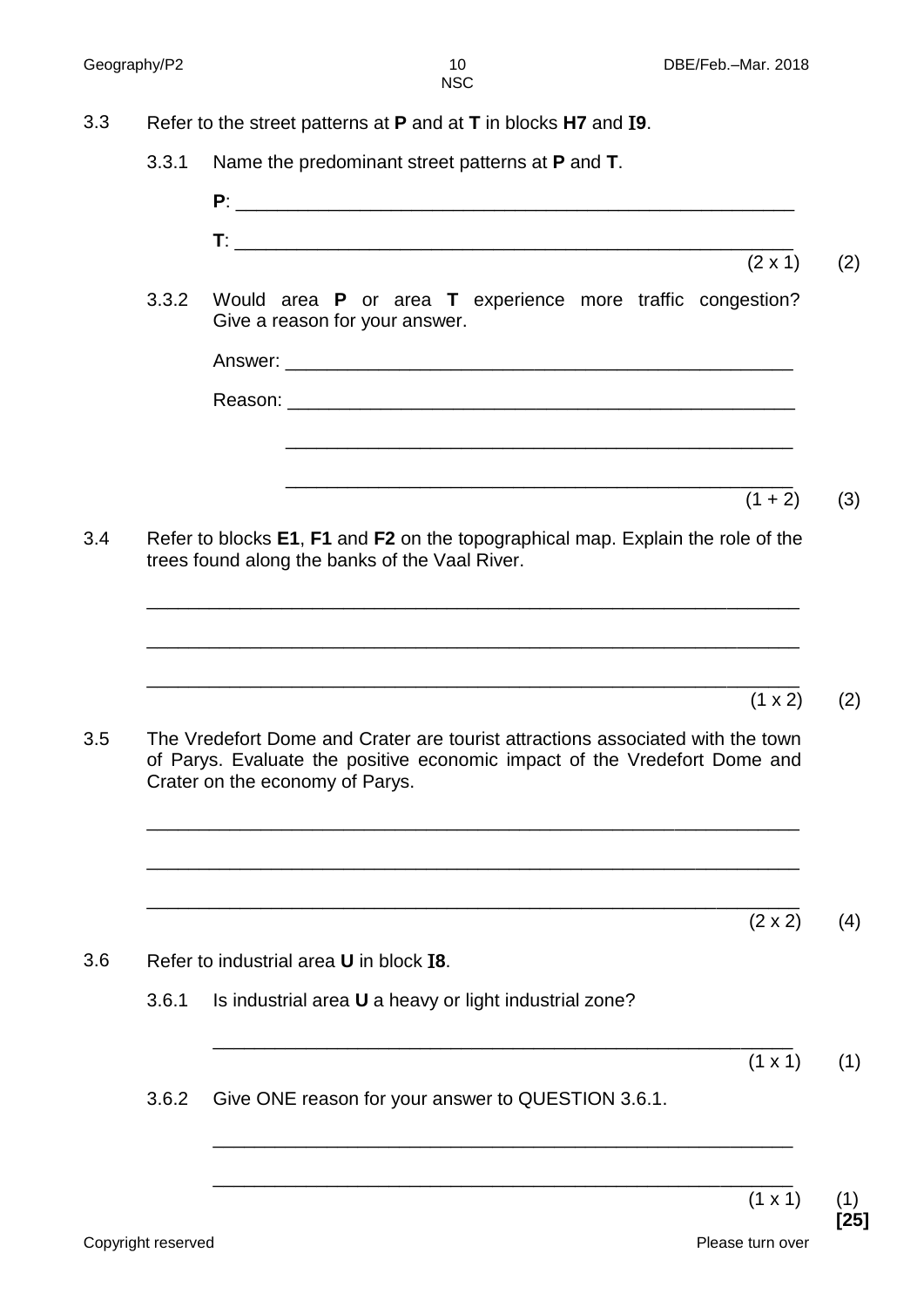- 3.3 Refer to the street patterns at **P** and at **T** in blocks **H7** and I**9**.
	- 3.3.1 Name the predominant street patterns at **P** and **T**.
		- **P**: \_\_\_\_\_\_\_\_\_\_\_\_\_\_\_\_\_\_\_\_\_\_\_\_\_\_\_\_\_\_\_\_\_\_\_\_\_\_\_\_\_\_\_\_\_\_\_\_\_\_\_\_\_\_  $\mathsf{T}:\mathsf{L}^{\mathsf{u}}\longrightarrow\mathsf{L}^{\mathsf{u}}$  , where  $\mathsf{L}^{\mathsf{u}}$  is a set of  $\mathsf{L}^{\mathsf{u}}$  , where  $\mathsf{L}^{\mathsf{u}}$
	- 3.3.2 Would area **P** or area **T** experience more traffic congestion? Give a reason for your answer.
		- Answer: Reason:

\_\_\_\_\_\_\_\_\_\_\_\_\_\_\_\_\_\_\_\_\_\_\_\_\_\_\_\_\_\_\_\_\_\_\_\_\_\_\_\_\_\_\_\_\_\_\_\_\_

 \_\_\_\_\_\_\_\_\_\_\_\_\_\_\_\_\_\_\_\_\_\_\_\_\_\_\_\_\_\_\_\_\_\_\_\_\_\_\_\_\_\_\_\_\_\_\_\_\_  $(1 + 2)$  (3)

 $(2 \times 2)$  (4)

 $(2 \times 1)$  (2)

3.4 Refer to blocks **E1**, **F1** and **F2** on the topographical map. Explain the role of the trees found along the banks of the Vaal River.

\_\_\_\_\_\_\_\_\_\_\_\_\_\_\_\_\_\_\_\_\_\_\_\_\_\_\_\_\_\_\_\_\_\_\_\_\_\_\_\_\_\_\_\_\_\_\_\_\_\_\_\_\_\_\_\_\_\_\_\_\_\_\_

\_\_\_\_\_\_\_\_\_\_\_\_\_\_\_\_\_\_\_\_\_\_\_\_\_\_\_\_\_\_\_\_\_\_\_\_\_\_\_\_\_\_\_\_\_\_\_\_\_\_\_\_\_\_\_\_\_\_\_\_\_\_\_

\_\_\_\_\_\_\_\_\_\_\_\_\_\_\_\_\_\_\_\_\_\_\_\_\_\_\_\_\_\_\_\_\_\_\_\_\_\_\_\_\_\_\_\_\_\_\_\_\_\_\_\_\_\_\_\_\_\_\_\_\_\_\_  $(1 \times 2)$  (2) 3.5 The Vredefort Dome and Crater are tourist attractions associated with the town of Parys. Evaluate the positive economic impact of the Vredefort Dome and Crater on the economy of Parys.

\_\_\_\_\_\_\_\_\_\_\_\_\_\_\_\_\_\_\_\_\_\_\_\_\_\_\_\_\_\_\_\_\_\_\_\_\_\_\_\_\_\_\_\_\_\_\_\_\_\_\_\_\_\_\_\_\_\_\_\_\_\_\_

\_\_\_\_\_\_\_\_\_\_\_\_\_\_\_\_\_\_\_\_\_\_\_\_\_\_\_\_\_\_\_\_\_\_\_\_\_\_\_\_\_\_\_\_\_\_\_\_\_\_\_\_\_\_\_\_\_\_\_\_\_\_\_

\_\_\_\_\_\_\_\_\_\_\_\_\_\_\_\_\_\_\_\_\_\_\_\_\_\_\_\_\_\_\_\_\_\_\_\_\_\_\_\_\_\_\_\_\_\_\_\_\_\_\_\_\_\_\_\_\_\_\_\_\_\_\_

3.6 Refer to industrial area **U** in block I**8**. 3.6.1 Is industrial area **U** a heavy or light industrial zone? \_\_\_\_\_\_\_\_\_\_\_\_\_\_\_\_\_\_\_\_\_\_\_\_\_\_\_\_\_\_\_\_\_\_\_\_\_\_\_\_\_\_\_\_\_\_\_\_\_\_\_\_\_\_\_\_  $(1 \times 1)$  (1) 3.6.2 Give ONE reason for your answer to QUESTION 3.6.1. \_\_\_\_\_\_\_\_\_\_\_\_\_\_\_\_\_\_\_\_\_\_\_\_\_\_\_\_\_\_\_\_\_\_\_\_\_\_\_\_\_\_\_\_\_\_\_\_\_\_\_\_\_\_\_\_

\_\_\_\_\_\_\_\_\_\_\_\_\_\_\_\_\_\_\_\_\_\_\_\_\_\_\_\_\_\_\_\_\_\_\_\_\_\_\_\_\_\_\_\_\_\_\_\_\_\_\_\_\_\_\_\_

 $(1 \times 1)$  (1)

**[25]**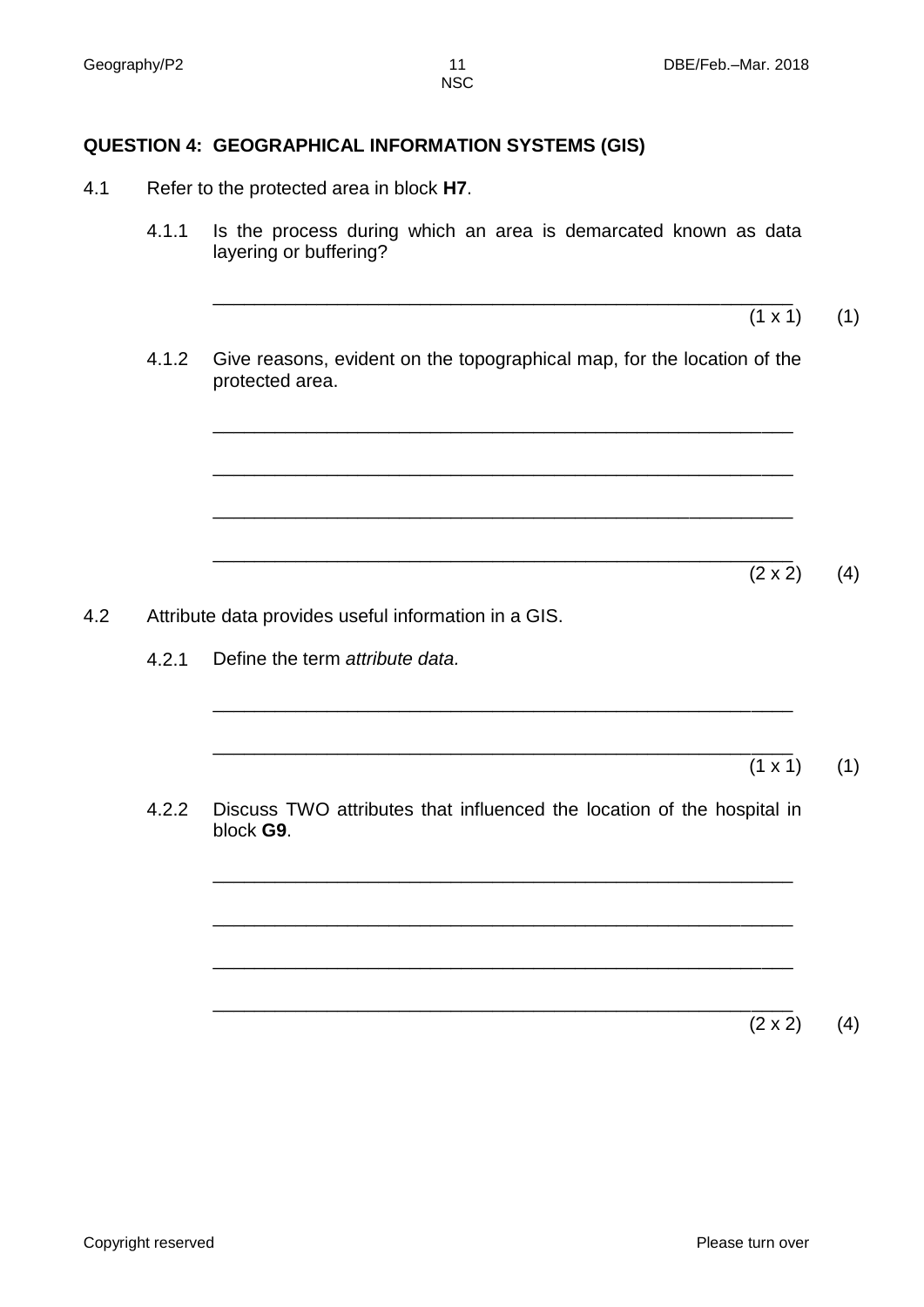# **QUESTION 4: GEOGRAPHICAL INFORMATION SYSTEMS (GIS)**

- 4.1 Refer to the protected area in block **H7**.
	- 4.1.1 Is the process during which an area is demarcated known as data layering or buffering?
	- 4.1.2 Give reasons, evident on the topographical map, for the location of the protected area.

\_\_\_\_\_\_\_\_\_\_\_\_\_\_\_\_\_\_\_\_\_\_\_\_\_\_\_\_\_\_\_\_\_\_\_\_\_\_\_\_\_\_\_\_\_\_\_\_\_\_\_\_\_\_\_\_

\_\_\_\_\_\_\_\_\_\_\_\_\_\_\_\_\_\_\_\_\_\_\_\_\_\_\_\_\_\_\_\_\_\_\_\_\_\_\_\_\_\_\_\_\_\_\_\_\_\_\_\_\_\_\_\_

\_\_\_\_\_\_\_\_\_\_\_\_\_\_\_\_\_\_\_\_\_\_\_\_\_\_\_\_\_\_\_\_\_\_\_\_\_\_\_\_\_\_\_\_\_\_\_\_\_\_\_\_\_\_\_\_

\_\_\_\_\_\_\_\_\_\_\_\_\_\_\_\_\_\_\_\_\_\_\_\_\_\_\_\_\_\_\_\_\_\_\_\_\_\_\_\_\_\_\_\_\_\_\_\_\_\_\_\_\_\_\_\_

\_\_\_\_\_\_\_\_\_\_\_\_\_\_\_\_\_\_\_\_\_\_\_\_\_\_\_\_\_\_\_\_\_\_\_\_\_\_\_\_\_\_\_\_\_\_\_\_\_\_\_\_\_\_\_\_

\_\_\_\_\_\_\_\_\_\_\_\_\_\_\_\_\_\_\_\_\_\_\_\_\_\_\_\_\_\_\_\_\_\_\_\_\_\_\_\_\_\_\_\_\_\_\_\_\_\_\_\_\_\_\_\_

\_\_\_\_\_\_\_\_\_\_\_\_\_\_\_\_\_\_\_\_\_\_\_\_\_\_\_\_\_\_\_\_\_\_\_\_\_\_\_\_\_\_\_\_\_\_\_\_\_\_\_\_\_\_\_\_

\_\_\_\_\_\_\_\_\_\_\_\_\_\_\_\_\_\_\_\_\_\_\_\_\_\_\_\_\_\_\_\_\_\_\_\_\_\_\_\_\_\_\_\_\_\_\_\_\_\_\_\_\_\_\_\_

\_\_\_\_\_\_\_\_\_\_\_\_\_\_\_\_\_\_\_\_\_\_\_\_\_\_\_\_\_\_\_\_\_\_\_\_\_\_\_\_\_\_\_\_\_\_\_\_\_\_\_\_\_\_\_\_

\_\_\_\_\_\_\_\_\_\_\_\_\_\_\_\_\_\_\_\_\_\_\_\_\_\_\_\_\_\_\_\_\_\_\_\_\_\_\_\_\_\_\_\_\_\_\_\_\_\_\_\_\_\_\_\_

\_\_\_\_\_\_\_\_\_\_\_\_\_\_\_\_\_\_\_\_\_\_\_\_\_\_\_\_\_\_\_\_\_\_\_\_\_\_\_\_\_\_\_\_\_\_\_\_\_\_\_\_\_\_\_\_

- 4.2 Attribute data provides useful information in a GIS.
	- 4.2.1 Define the term *attribute data.*

 $(1 \times 1)$  (1)

 $(2 \times 2)$  (4)

 $(1 \times 1)$  (1)

4.2.2 Discuss TWO attributes that influenced the location of the hospital in block **G9**.

 $(2 \times 2)$  (4)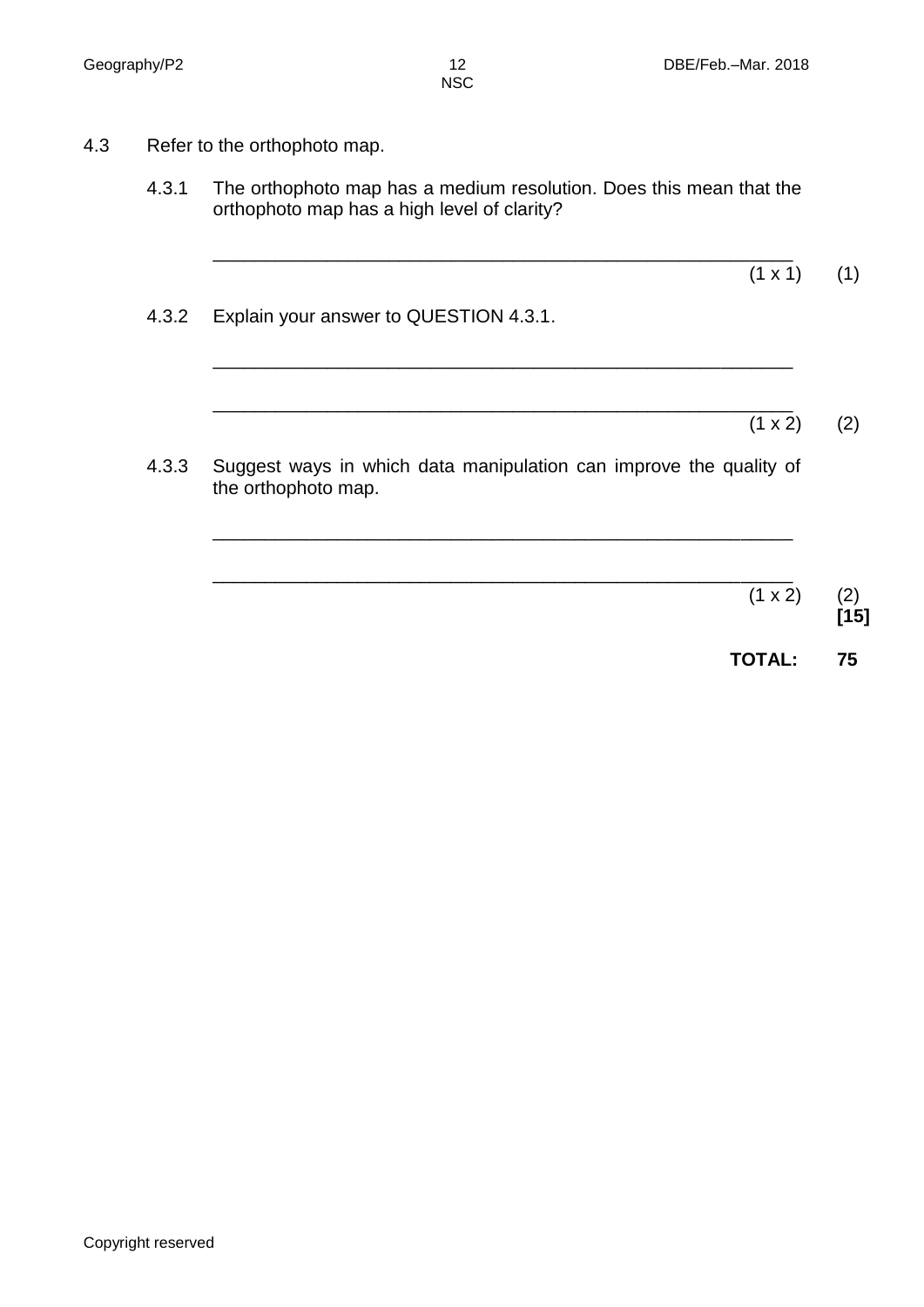- 4.3 Refer to the orthophoto map.
	- 4.3.1 The orthophoto map has a medium resolution. Does this mean that the orthophoto map has a high level of clarity?

\_\_\_\_\_\_\_\_\_\_\_\_\_\_\_\_\_\_\_\_\_\_\_\_\_\_\_\_\_\_\_\_\_\_\_\_\_\_\_\_\_\_\_\_\_\_\_\_\_\_\_\_\_\_\_\_

\_\_\_\_\_\_\_\_\_\_\_\_\_\_\_\_\_\_\_\_\_\_\_\_\_\_\_\_\_\_\_\_\_\_\_\_\_\_\_\_\_\_\_\_\_\_\_\_\_\_\_\_\_\_\_\_

\_\_\_\_\_\_\_\_\_\_\_\_\_\_\_\_\_\_\_\_\_\_\_\_\_\_\_\_\_\_\_\_\_\_\_\_\_\_\_\_\_\_\_\_\_\_\_\_\_\_\_\_\_\_\_\_

- 4.3.2 Explain your answer to QUESTION 4.3.1.
	- \_\_\_\_\_\_\_\_\_\_\_\_\_\_\_\_\_\_\_\_\_\_\_\_\_\_\_\_\_\_\_\_\_\_\_\_\_\_\_\_\_\_\_\_\_\_\_\_\_\_\_\_\_\_\_\_  $(1 \times 2)$  (2)

 $(1 \times 1)$  (1)

4.3.3 Suggest ways in which data manipulation can improve the quality of the orthophoto map.